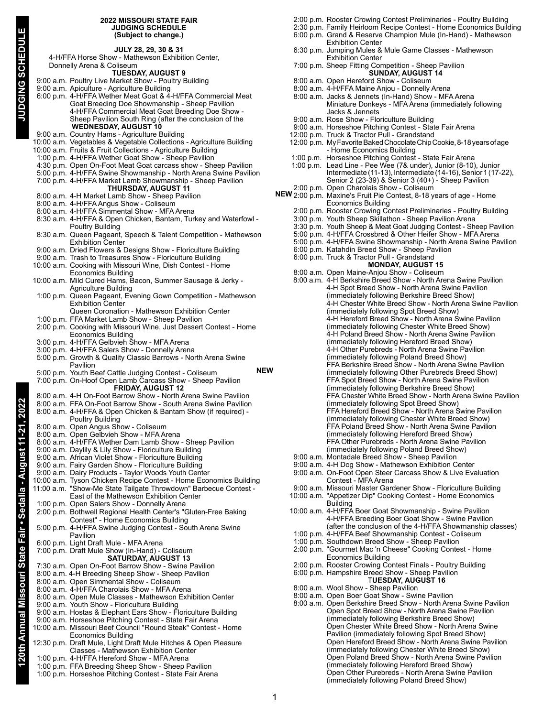## **2022 MISSOURI STATE FAIR JUDGING SCHEDULE (Subject to change.)**

|                                                                                                   |  | (Subject to cnange.)                                                                                                                  |  |
|---------------------------------------------------------------------------------------------------|--|---------------------------------------------------------------------------------------------------------------------------------------|--|
|                                                                                                   |  | JULY 28, 29, 30 & 31                                                                                                                  |  |
| JUDGING SCHEDUL<br>4-H/FFA Horse Show - Mathewson Exhibition Center,<br>Donnelly Arena & Coliseum |  |                                                                                                                                       |  |
|                                                                                                   |  | <b>TUESDAY, AUGUST 9</b>                                                                                                              |  |
|                                                                                                   |  | 9:00 a.m. Poultry Live Market Show - Poultry Building                                                                                 |  |
|                                                                                                   |  | 9:00 a.m. Apiculture - Agriculture Building<br>6.00 p.m. 4-H/FFA Wether Meat Goat & 4-H/FFA Commercial Meat                           |  |
|                                                                                                   |  | Goat Breeding Doe Showmanship - Sheep Pavilion                                                                                        |  |
|                                                                                                   |  | 4-H/FFA Commercial Meat Goat Breeding Doe Show -<br>Sheep Pavilion South Ring (after the conclusion of the                            |  |
|                                                                                                   |  | <b>WEDNESDAY, AUGUST 10</b>                                                                                                           |  |
|                                                                                                   |  | 9:00 a.m. Country Hams - Agriculture Building                                                                                         |  |
|                                                                                                   |  | 10:00 a.m. Vegetables & Vegetable Collections - Agriculture Building<br>10:00 a.m. Fruits & Fruit Collections - Agriculture Building  |  |
|                                                                                                   |  | 1:00 p.m. 4-H/FFA Wether Goat Show - Sheep Pavilion                                                                                   |  |
|                                                                                                   |  | 4:30 p.m. Open On-Foot Meat Goat carcass show - Sheep Pavilion<br>5:00 p.m. 4-H/FFA Swine Showmanship - North Arena Swine Pavilion    |  |
|                                                                                                   |  | 7:00 p.m. 4-H/FFA Market Lamb Showmanship - Sheep Pavilion                                                                            |  |
|                                                                                                   |  | <b>THURSDAY, AUGUST 11</b>                                                                                                            |  |
|                                                                                                   |  | 8:00 a.m. 4-H Market Lamb Show - Sheep Pavilion<br>8:00 a.m. 4-H/FFA Angus Show - Coliseum                                            |  |
|                                                                                                   |  | 8:00 a.m. 4-H/FFA Simmental Show - MFA Arena                                                                                          |  |
|                                                                                                   |  | 8:30 a.m. 4-H/FFA & Open Chicken, Bantam, Turkey and Waterfowl -<br><b>Poultry Building</b>                                           |  |
|                                                                                                   |  | 8:30 a.m. Queen Pageant, Speech & Talent Competition - Mathewson                                                                      |  |
|                                                                                                   |  | <b>Exhibition Center</b>                                                                                                              |  |
|                                                                                                   |  | 9:00 a.m. Dried Flowers & Designs Show - Floriculture Building<br>9:00 a.m. Trash to Treasures Show - Floriculture Building           |  |
|                                                                                                   |  | 10:00 a.m. Cooking with Missouri Wine, Dish Contest - Home                                                                            |  |
|                                                                                                   |  | Economics Building<br>10:00 a.m. Mild Cured Hams, Bacon, Summer Sausage & Jerky -                                                     |  |
|                                                                                                   |  | Agriculture Building                                                                                                                  |  |
|                                                                                                   |  | 1:00 p.m. Queen Pageant, Evening Gown Competition - Mathewson                                                                         |  |
|                                                                                                   |  | <b>Exhibition Center</b><br>Queen Coronation - Mathewson Exhibition Center                                                            |  |
|                                                                                                   |  | 1:00 p.m. FFA Market Lamb Show - Sheep Pavilion                                                                                       |  |
|                                                                                                   |  | 2:00 p.m. Cooking with Missouri Wine, Just Dessert Contest - Home<br><b>Economics Building</b>                                        |  |
|                                                                                                   |  | 3:00 p.m. 4-H/FFA Gelbvieh Show - MFA Arena                                                                                           |  |
|                                                                                                   |  | 3:00 p.m. 4-H/FFA Salers Show - Donnelly Arena<br>5:00 p.m. Growth & Quality Classic Barrows - North Arena Swine                      |  |
|                                                                                                   |  | Pavilion                                                                                                                              |  |
|                                                                                                   |  | NEW<br>5:00 p.m. Youth Beef Cattle Judging Contest - Coliseum                                                                         |  |
|                                                                                                   |  | 7:00 p.m. On-Hoof Open Lamb Carcass Show - Sheep Pavilion<br><b>FRIDAY, AUGUST 12</b>                                                 |  |
|                                                                                                   |  | 8:00 a.m. 4-H On-Foot Barrow Show - North Arena Swine Pavilion                                                                        |  |
| 1-21, 2022                                                                                        |  | 8:00 a.m. FFA On-Foot Barrow Show - South Arena Swine Pavilion<br>8:00 a.m. 4-H/FFA & Open Chicken & Bantam Show (if required) -      |  |
|                                                                                                   |  | Poultry Building                                                                                                                      |  |
|                                                                                                   |  | 8:00 a.m. Open Angus Show - Coliseum<br>8:00 a.m. Open Gelbvieh Show - MFA Arena                                                      |  |
|                                                                                                   |  | 8:00 a.m. 4-H/FFA Wether Dam Lamb Show - Sheep Pavilion                                                                               |  |
|                                                                                                   |  | 9:00 a.m. Daylily & Lily Show - Floriculture Building                                                                                 |  |
|                                                                                                   |  | 9:00 a.m. African Violet Show - Floriculture Building<br>9:00 a.m. Fairy Garden Show - Floriculture Building                          |  |
|                                                                                                   |  | 9:00 a.m. Dairy Products - Taylor Woods Youth Center                                                                                  |  |
|                                                                                                   |  | 10:00 a.m. Tyson Chicken Recipe Contest - Home Economics Building<br>11:00 a.m. "Show-Me State Tailgate Throwdown" Barbecue Contest - |  |
|                                                                                                   |  | East of the Mathewson Exhibition Center                                                                                               |  |
|                                                                                                   |  | 1:00 p.m. Open Salers Show - Donnelly Arena                                                                                           |  |
|                                                                                                   |  | 2:00 p.m. Bothwell Regional Health Center's "Gluten-Free Baking<br>Contest" - Home Economics Building                                 |  |
|                                                                                                   |  | 5:00 p.m. 4-H/FFA Swine Judging Contest - South Arena Swine                                                                           |  |
|                                                                                                   |  | Pavilion<br>6:00 p.m. Light Draft Mule - MFA Arena                                                                                    |  |
|                                                                                                   |  | 7:00 p.m. Draft Mule Show (In-Hand) - Coliseum                                                                                        |  |
|                                                                                                   |  | <b>SATURDAY, AUGUST 13</b><br>7:30 a.m. Open On-Foot Barrow Show - Swine Pavilion                                                     |  |
|                                                                                                   |  | 8:00 a.m. 4-H Breeding Sheep Show - Sheep Pavilion                                                                                    |  |
|                                                                                                   |  | 8:00 a.m. Open Simmental Show - Coliseum                                                                                              |  |
|                                                                                                   |  | 8:00 a.m. 4-H/FFA Charolais Show - MFA Arena<br>8:00 a.m. Open Mule Classes - Mathewson Exhibition Center                             |  |
|                                                                                                   |  | 9:00 a.m. Youth Show - Floriculture Building                                                                                          |  |
|                                                                                                   |  | 9:00 a.m. Hostas & Elephant Ears Show - Floriculture Building<br>9:00 a.m. Horseshoe Pitching Contest - State Fair Arena              |  |
|                                                                                                   |  | 10:00 a.m. Missouri Beef Council "Round Steak" Contest - Home                                                                         |  |
|                                                                                                   |  | <b>Economics Building</b>                                                                                                             |  |
|                                                                                                   |  | 12:30 p.m. Draft Mule, Light Draft Mule Hitches & Open Pleasure<br>Classes - Mathewson Exhibition Center                              |  |
| 120th Annual Missouri State Fair • Sedalia - August                                               |  | 1:00 p.m. 4-H/FFA Hereford Show - MFA Arena                                                                                           |  |
|                                                                                                   |  | 1:00 n m FFA Breeding Sheen Show - Sheen Pavilion                                                                                     |  |

- 1:00 p.m. 4-H/FFA Hereford Show MFA Arena
- 1:00 p.m. FFA Breeding Sheep Show Sheep Pavilion
- 1:00 p.m. Horseshoe Pitching Contest State Fair Arena
- 2:00 p.m. Rooster Crowing Contest Preliminaries Poultry Building
- 2:30 p.m. Family Heirloom Recipe Contest Home Economics Building 6:00 p.m. Grand & Reserve Champion Mule (In-Hand) - Mathewson Exhibition Center
- 6:30 p.m. Jumping Mules & Mule Game Classes Mathewson Exhibition Center
- 7:00 p.m. Sheep Fitting Competition Sheep Pavilion **SUNDAY, AUGUST 14**
- 8:00 a.m. Open Hereford Show Coliseum 8:00 a.m. 4-H/FFA Maine Anjou - Donnelly Arena
- 
- 8:00 a.m. Jacks & Jennets (In-Hand) Show MFA Arena Miniature Donkeys - MFA Arena (immediately following Jacks & Jennets
- 9:00 a.m. Rose Show Floriculture Building
- 9:00 a.m. Horseshoe Pitching Contest State Fair Arena
- 12:00 p.m. Truck & Tractor Pull Grandstand
- 12:00 p.m. My Favorite Baked Chocolate Chip Cookie, 8-18 years of age - Home Economics Building
- 1:00 p.m. Horseshoe Pitching Contest State Fair Arena
- 1:00 p.m. Lead Line Pee Wee (7& under), Junior (8-10), Junior Intermediate (11-13), Intermediate (14-16), Senior 1 (17-22), Senior 2 (23-39) & Senior 3 (40+) - Sheep Pavilion
- 2:00 p.m. Open Charolais Show Coliseum 2:00 p.m. Maxine's Fruit Pie Contest, 8-18 years of age - Home **NEW**
	- Economics Building
		- 2:00 p.m. Rooster Crowing Contest Preliminaries Poultry Building
		- 3:00 p.m. Youth Sheep Skillathon Sheep Pavilion Arena
		- 3:30 p.m. Youth Sheep & Meat Goat Judging Contest Sheep Pavilion
		- 5:00 p.m. 4-H/FFA Crossbred & Other Heifer Show MFA Arena
		- 5:00 p.m. 4-H/FFA Swine Showmanship North Arena Swine Pavilion
		- 6:00 p.m. Katahdin Breed Show Sheep Pavilion
		- 6:00 p.m. Truck & Tractor Pull Grandstand **MONDAY, AUGUST 15**
		- 8:00 a.m. Open Maine-Anjou Show Coliseum
		- 8:00 a.m. 4-H Berkshire Breed Show North Arena Swine Pavilion 4-H Spot Breed Show - North Arena Swine Pavilion (immediately following Berkshire Breed Show) 4-H Chester White Breed Show - North Arena Swine Pavilion (immediately following Spot Breed Show) 4-H Hereford Breed Show - North Arena Swine Pavilion (immediately following Chester White Breed Show) 4-H Poland Breed Show - North Arena Swine Pavilion (immediately following Hereford Breed Show) 4-H Other Purebreds - North Arena Swine Pavilion (immediately following Poland Breed Show) FFA Berkshire Breed Show - North Arena Swine Pavilion (immediately following Other Purebreds Breed Show) FFA Spot Breed Show - North Arena Swine Pavilion (immediately following Berkshire Breed Show) FFA Chester White Breed Show - North Arena Swine Pavilion (immediately following Spot Breed Show) FFA Hereford Breed Show - North Arena Swine Pavilion (immediately following Chester White Breed Show) FFA Poland Breed Show - North Arena Swine Pavilion (immediately following Hereford Breed Show) FFA Other Purebreds - North Arena Swine Pavilion (immediately following Poland Breed Show)
		- 9:00 a.m. Montadale Breed Show Sheep Pavilion
		- 9:00 a.m. 4-H Dog Show Mathewson Exhibition Center
		- 9:00 a.m. On-Foot Open Steer Carcass Show & Live Evaluation Contest - MFA Arena
		- 9:00 a.m. Missouri Master Gardener Show Floriculture Building
		- 10:00 a.m. "Appetizer Dip" Cooking Contest Home Economics Building
		- 10:00 a.m. 4-H/FFA Boer Goat Showmanship Swine Pavilion 4-H/FFA Breeding Boer Goat Show - Swine Pavilion (after the conclusion of the 4-H/FFA Showmanship classes)
		- 1:00 p.m. 4-H/FFA Beef Showmanship Contest Coliseum
		- 1:00 p.m. Southdown Breed Show Sheep Pavilion
		- 2:00 p.m. "Gourmet Mac 'n Cheese" Cooking Contest Home Economics Building
		- 2:00 p.m. Rooster Crowing Contest Finals Poultry Building 6:00 p.m. Hampshire Breed Show - Sheep Pavilion
		- T**UESDAY, AUGUST 16**
		- 8:00 a.m. Wool Show Sheep Pavilion
		- 8:00 a.m. Open Boer Goat Show Swine Pavilion
		- 8:00 a.m. Open Berkshire Breed Show North Arena Swine Pavilion Open Spot Breed Show - North Arena Swine Pavilion (immediately following Berkshire Breed Show) Open Chester White Breed Show - North Arena Swine Pavilion (immediately following Spot Breed Show) Open Hereford Breed Show - North Arena Swine Pavilion (immediately following Chester White Breed Show) Open Poland Breed Show - North Arena Swine Pavilion (immediately following Hereford Breed Show) Open Other Purebreds - North Arena Swine Pavilion (immediately following Poland Breed Show)

JUDGING SCHEDI